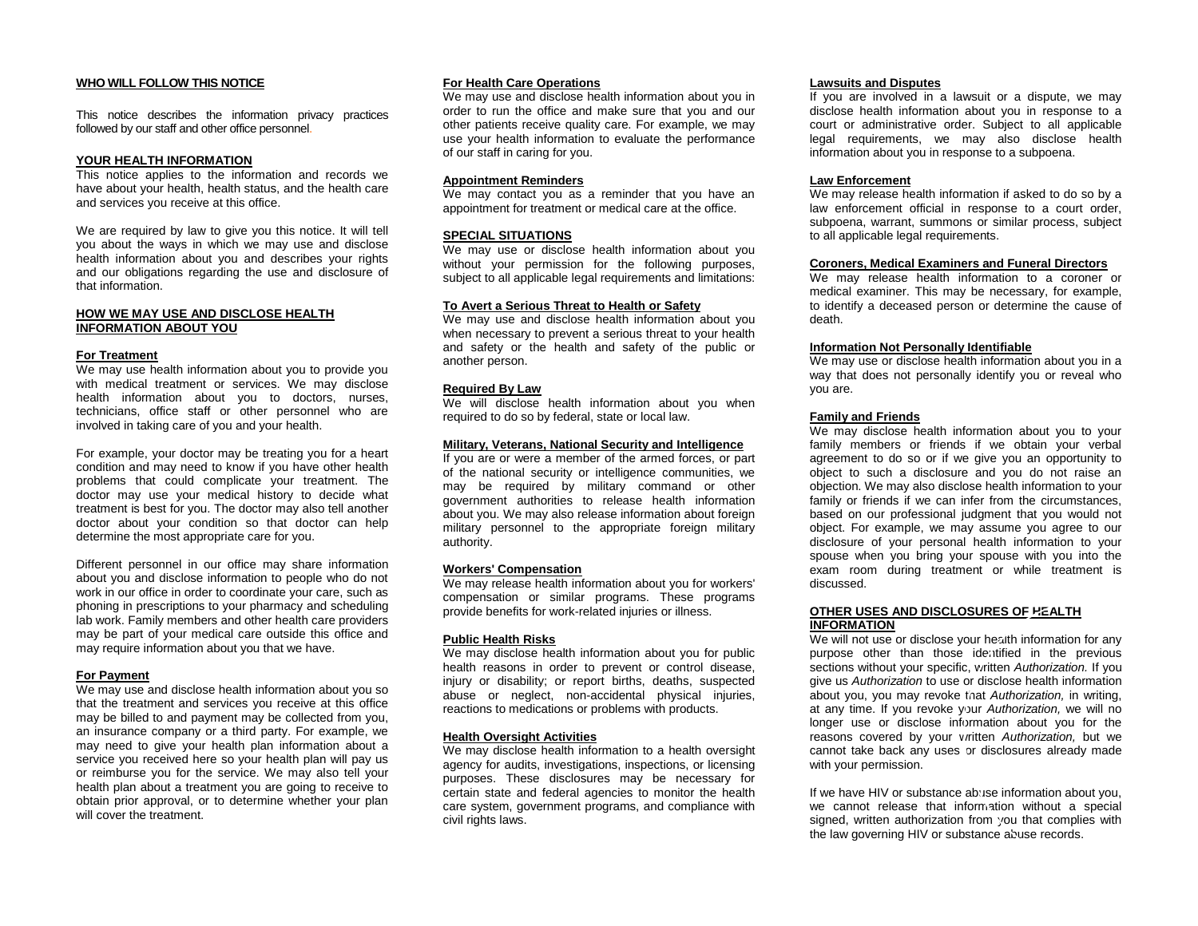# **WHO WILL FOLLOW THIS NOTICE**

This notice describes the information privacy practices followed by our staff and other office personnel.

## **YOUR HEALTH INFORMATION**

This notice applies to the information and records we have about your health, health status, and the health care and services you receive at this office.

We are required by law to give you this notice. It will tell you about the ways in which we may use and disclose health information about you and describes your rights and our obligations regarding the use and disclosure of that information.

## **HOW WE MAY USE AND DISCLOSE HEALTH INFORMATION ABOUT YOU**

#### **For Treatment**

We may use health information about you to provide you with medical treatment or services. We may disclose health information about you to doctors, nurses, technicians, office staff or other personnel who are involved in taking care of you and your health.

For example, your doctor may be treating you for a heart condition and may need to know if you have other health problems that could complicate your treatment. The doctor may use your medical history to decide what treatment is best for you. The doctor may also tell another doctor about your condition so that doctor can help determine the most appropriate care for you.

Different personnel in our office may share information about you and disclose information to people who do not work in our office in order to coordinate your care, such as phoning in prescriptions to your pharmacy and scheduling lab work. Family members and other health care providers may be part of your medical care outside this office and may require information about you that we have.

# **For Payment**

We may use and disclose health information about you so that the treatment and services you receive at this office may be billed to and payment may be collected from you, an insurance company or a third party. For example, we may need to give your health plan information about a service you received here so your health plan will pay us or reimburse you for the service. We may also tell your health plan about a treatment you are going to receive to obtain prior approval, or to determine whether your plan will cover the treatment.

## **For Health Care Operations**

We may use and disclose health information about you in order to run the office and make sure that you and our other patients receive quality care. For example, we may use your health information to evaluate the performance of our staff in caring for you.

# **Appointment Reminders**

We may contact you as a reminder that you have an appointment for treatment or medical care at the office.

## **SPECIAL SITUATIONS**

We may use or disclose health information about you without your permission for the following purposes, subject to all applicable legal requirements and limitations:

## **To Avert a Serious Threat to Health or Safety**

We may use and disclose health information about you when necessary to prevent a serious threat to your health and safety or the health and safety of the public or another person.

#### **Required By Law**

We will disclose health information about you when required to do so by federal, state or local law.

#### **Military, Veterans, National Security and Intelligence**

If you are or were a member of the armed forces, or part of the national security or intelligence communities, we may be required by military command or other government authorities to release health information about you. We may also release information about foreign military personnel to the appropriate foreign military authority.

#### **Workers' Compensation**

We may release health information about you for workers' compensation or similar programs. These programs provide benefits for work-related injuries or illness.

#### **Public Health Risks**

We may disclose health information about you for public health reasons in order to prevent or control disease, injury or disability; or report births, deaths, suspected abuse or neglect, non-accidental physical injuries, reactions to medications or problems with products.

# **Health Oversight Activities**

We may disclose health information to a health oversight agency for audits, investigations, inspections, or licensing purposes. These disclosures may be necessary for certain state and federal agencies to monitor the health care system, government programs, and compliance with civil rights laws.

#### **Lawsuits and Disputes**

If you are involved in a lawsuit or a dispute, we may disclose health information about you in response to a court or administrative order. Subject to all applicable legal requirements, we may also disclose health information about you in response to a subpoena.

## **Law Enforcement**

We may release health information if asked to do so by a law enforcement official in response to a court order, subpoena, warrant, summons or similar process, subject to all applicable legal requirements.

#### **Coroners, Medical Examiners and Funeral Directors**

We may release health information to a coroner or medical examiner. This may be necessary, for example, to identify a deceased person or determine the cause of death.

## **Information Not Personally Identifiable**

We may use or disclose health information about you in a way that does not personally identify you or reveal who you are.

#### **Family and Friends**

We may disclose health information about you to your family members or friends if we obtain your verbal agreement to do so or if we give you an opportunity to object to such a disclosure and you do not raise an objection. We may also disclose health information to your family or friends if we can infer from the circumstances, based on our professional judgment that you would not object. For example, we may assume you agree to our disclosure of your personal health information to your spouse when you bring your spouse with you into the exam room during treatment or while treatment is discussed.

## **OTHER USES AND DISCLOSURES OF HEALTH INFORMATION**

We will not use or disclose your health information for any purpose other than those identified in the previous sections without your specific, written *Authorization.* If you give us *Authorization* to use or disclose health information about you, you may revoke that *Authorization,* in writing, at any time. If you revoke your *Authorization,* we will no longer use or disclose information about you for the reasons covered by your written *Authorization,* but we cannot take back any uses or disclosures already made with your permission.

If we have HIV or substance abuse information about you, we cannot release that information without a special signed, written authorization from you that complies with the law governing HIV or substance abuse records.